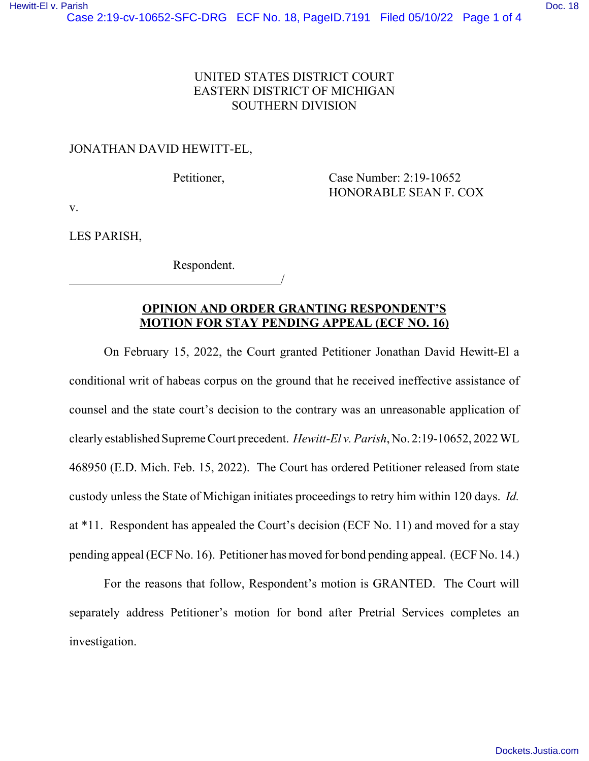## UNITED STATES DISTRICT COURT EASTERN DISTRICT OF MICHIGAN SOUTHERN DIVISION

### JONATHAN DAVID HEWITT-EL,

Petitioner,

Case Number: 2:19-10652 HONORABLE SEAN F. COX

v.

LES PARISH,

Respondent.

<u>/</u>

### **OPINION AND ORDER GRANTING RESPONDENT'S MOTION FOR STAY PENDING APPEAL (ECF NO. 16)**

On February 15, 2022, the Court granted Petitioner Jonathan David Hewitt-El a conditional writ of habeas corpus on the ground that he received ineffective assistance of counsel and the state court's decision to the contrary was an unreasonable application of clearly established Supreme Court precedent. *Hewitt-El v. Parish*, No. 2:19-10652, 2022 WL 468950 (E.D. Mich. Feb. 15, 2022). The Court has ordered Petitioner released from state custody unless the State of Michigan initiates proceedings to retry him within 120 days. *Id.* at \*11. Respondent has appealed the Court's decision (ECF No. 11) and moved for a stay pending appeal (ECF No. 16). Petitioner has moved for bond pending appeal. (ECF No. 14.)

For the reasons that follow, Respondent's motion is GRANTED. The Court will separately address Petitioner's motion for bond after Pretrial Services completes an investigation.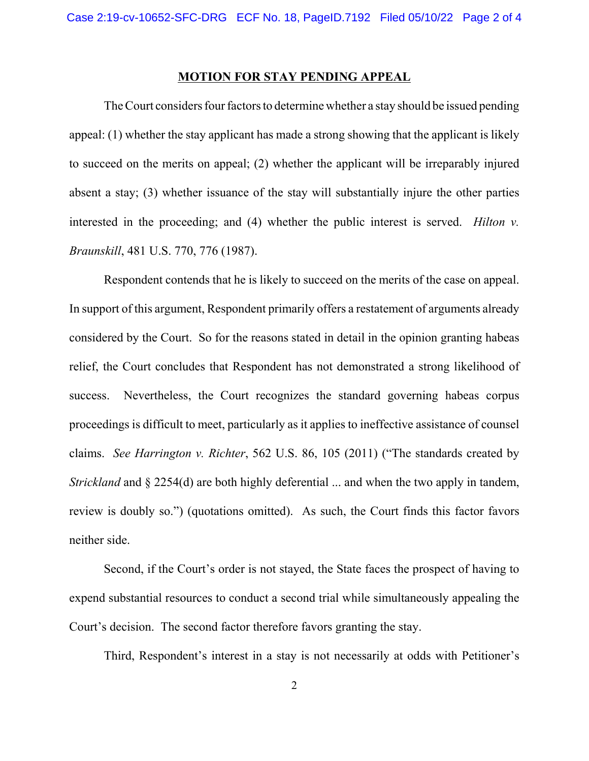#### **MOTION FOR STAY PENDING APPEAL**

The Court considers four factors to determine whether a stay should be issued pending appeal: (1) whether the stay applicant has made a strong showing that the applicant is likely to succeed on the merits on appeal; (2) whether the applicant will be irreparably injured absent a stay; (3) whether issuance of the stay will substantially injure the other parties interested in the proceeding; and (4) whether the public interest is served. *Hilton v. Braunskill*, 481 U.S. 770, 776 (1987).

Respondent contends that he is likely to succeed on the merits of the case on appeal. In support of this argument, Respondent primarily offers a restatement of arguments already considered by the Court. So for the reasons stated in detail in the opinion granting habeas relief, the Court concludes that Respondent has not demonstrated a strong likelihood of success. Nevertheless, the Court recognizes the standard governing habeas corpus proceedings is difficult to meet, particularly as it applies to ineffective assistance of counsel claims. *See Harrington v. Richter*, 562 U.S. 86, 105 (2011) ("The standards created by *Strickland* and § 2254(d) are both highly deferential ... and when the two apply in tandem, review is doubly so.") (quotations omitted). As such, the Court finds this factor favors neither side.

Second, if the Court's order is not stayed, the State faces the prospect of having to expend substantial resources to conduct a second trial while simultaneously appealing the Court's decision. The second factor therefore favors granting the stay.

Third, Respondent's interest in a stay is not necessarily at odds with Petitioner's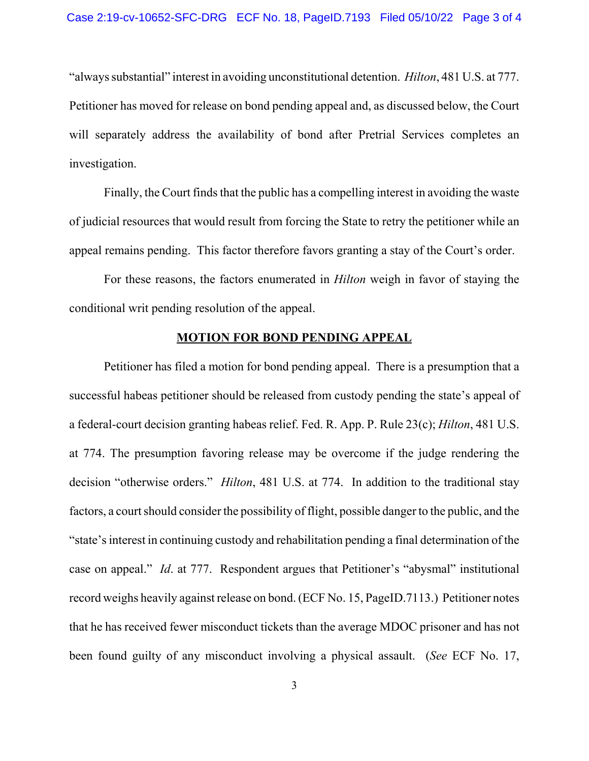"always substantial" interest in avoiding unconstitutional detention. *Hilton*, 481 U.S. at 777. Petitioner has moved for release on bond pending appeal and, as discussed below, the Court will separately address the availability of bond after Pretrial Services completes an investigation.

Finally, the Court finds that the public has a compelling interest in avoiding the waste of judicial resources that would result from forcing the State to retry the petitioner while an appeal remains pending. This factor therefore favors granting a stay of the Court's order.

For these reasons, the factors enumerated in *Hilton* weigh in favor of staying the conditional writ pending resolution of the appeal.

### **MOTION FOR BOND PENDING APPEAL**

Petitioner has filed a motion for bond pending appeal. There is a presumption that a successful habeas petitioner should be released from custody pending the state's appeal of a federal-court decision granting habeas relief. Fed. R. App. P. Rule 23(c); *Hilton*, 481 U.S. at 774. The presumption favoring release may be overcome if the judge rendering the decision "otherwise orders." *Hilton*, 481 U.S. at 774. In addition to the traditional stay factors, a court should consider the possibility of flight, possible danger to the public, and the "state's interest in continuing custody and rehabilitation pending a final determination of the case on appeal." *Id*. at 777. Respondent argues that Petitioner's "abysmal" institutional record weighs heavily against release on bond. (ECF No. 15, PageID.7113.) Petitioner notes that he has received fewer misconduct tickets than the average MDOC prisoner and has not been found guilty of any misconduct involving a physical assault. (*See* ECF No. 17,